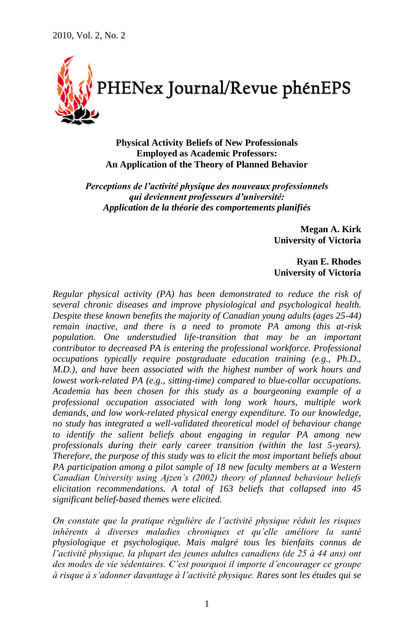

**Physical Activity Beliefs of New Professionals Employed as Academic Professors: An Application of the Theory of Planned Behavior**

*Perceptions de l'activité physique des nouveaux professionnels qui deviennent professeurs d'université: Application de la théorie des comportements planifiés*

> **Megan A. Kirk University of Victoria**

> **Ryan E. Rhodes University of Victoria**

*Regular physical activity (PA) has been demonstrated to reduce the risk of several chronic diseases and improve physiological and psychological health. Despite these known benefits the majority of Canadian young adults (ages 25-44) remain inactive, and there is a need to promote PA among this at-risk population. One understudied life-transition that may be an important contributor to decreased PA is entering the professional workforce. Professional occupations typically require postgraduate education training (e.g., Ph.D., M.D.), and have been associated with the highest number of work hours and lowest work-related PA (e.g., sitting-time) compared to blue-collar occupations. Academia has been chosen for this study as a bourgeoning example of a professional occupation associated with long work hours, multiple work demands, and low work-related physical energy expenditure. To our knowledge, no study has integrated a well-validated theoretical model of behaviour change to identify the salient beliefs about engaging in regular PA among new professionals during their early career transition (within the last 5-years). Therefore, the purpose of this study was to elicit the most important beliefs about PA participation among a pilot sample of 18 new faculty members at a Western Canadian University using Ajzen's (2002) theory of planned behaviour beliefs elicitation recommendations. A total of 163 beliefs that collapsed into 45 significant belief-based themes were elicited.*

*On constate que la pratique régulière de l'activité physique réduit les risques inhérents à diverses maladies chroniques et qu'elle améliore la santé physiologique et psychologique. Mais malgré tous les bienfaits connus de l'activité physique, la plupart des jeunes adultes canadiens (de 25 à 44 ans) ont des modes de vie sédentaires. C'est pourquoi il importe d'encourager ce groupe à risque à s'adonner davantage à l'activité physique. Rares sont les études qui se*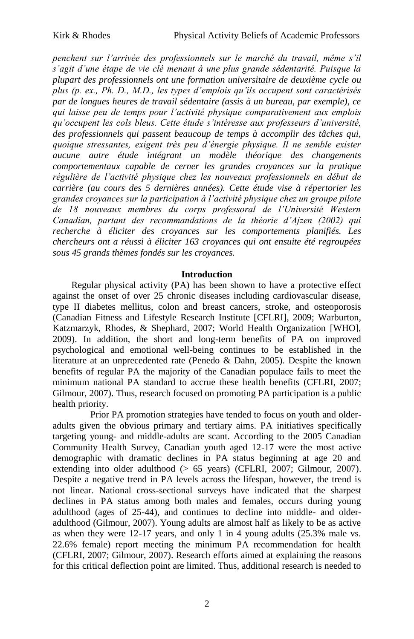*penchent sur l'arrivée des professionnels sur le marché du travail, même s'il s'agit d'une étape de vie clé menant à une plus grande sédentarité. Puisque la plupart des professionnels ont une formation universitaire de deuxième cycle ou plus (p. ex., Ph. D., M.D., les types d'emplois qu'ils occupent sont caractérisés par de longues heures de travail sédentaire (assis à un bureau, par exemple), ce qui laisse peu de temps pour l'activité physique comparativement aux emplois qu'occupent les cols bleus. Cette étude s'intéresse aux professeurs d'université, des professionnels qui passent beaucoup de temps à accomplir des tâches qui, quoique stressantes, exigent très peu d'énergie physique. Il ne semble exister aucune autre étude intégrant un modèle théorique des changements comportementaux capable de cerner les grandes croyances sur la pratique régulière de l'activité physique chez les nouveaux professionnels en début de carrière (au cours des 5 dernières années). Cette étude vise à répertorier les grandes croyances sur la participation à l'activité physique chez un groupe pilote de 18 nouveaux membres du corps professoral de l'Université Western Canadian, partant des recommandations de la théorie d'Ajzen (2002) qui recherche à éliciter des croyances sur les comportements planifiés. Les chercheurs ont a réussi à éliciter 163 croyances qui ont ensuite été regroupées sous 45 grands thèmes fondés sur les croyances.*

## **Introduction**

Regular physical activity (PA) has been shown to have a protective effect against the onset of over 25 chronic diseases including cardiovascular disease, type II diabetes mellitus, colon and breast cancers, stroke, and osteoporosis (Canadian Fitness and Lifestyle Research Institute [CFLRI], 2009; Warburton, Katzmarzyk, Rhodes, & Shephard, 2007; World Health Organization [WHO], 2009). In addition, the short and long-term benefits of PA on improved psychological and emotional well-being continues to be established in the literature at an unprecedented rate (Penedo & Dahn, 2005). Despite the known benefits of regular PA the majority of the Canadian populace fails to meet the minimum national PA standard to accrue these health benefits (CFLRI, 2007; Gilmour, 2007). Thus, research focused on promoting PA participation is a public health priority.

Prior PA promotion strategies have tended to focus on youth and olderadults given the obvious primary and tertiary aims. PA initiatives specifically targeting young- and middle-adults are scant. According to the 2005 Canadian Community Health Survey, Canadian youth aged 12-17 were the most active demographic with dramatic declines in PA status beginning at age 20 and extending into older adulthood (> 65 years) (CFLRI, 2007; Gilmour, 2007). Despite a negative trend in PA levels across the lifespan, however, the trend is not linear. National cross-sectional surveys have indicated that the sharpest declines in PA status among both males and females, occurs during young adulthood (ages of 25-44), and continues to decline into middle- and olderadulthood (Gilmour, 2007). Young adults are almost half as likely to be as active as when they were 12-17 years, and only 1 in 4 young adults (25.3% male vs. 22.6% female) report meeting the minimum PA recommendation for health (CFLRI, 2007; Gilmour, 2007). Research efforts aimed at explaining the reasons for this critical deflection point are limited. Thus, additional research is needed to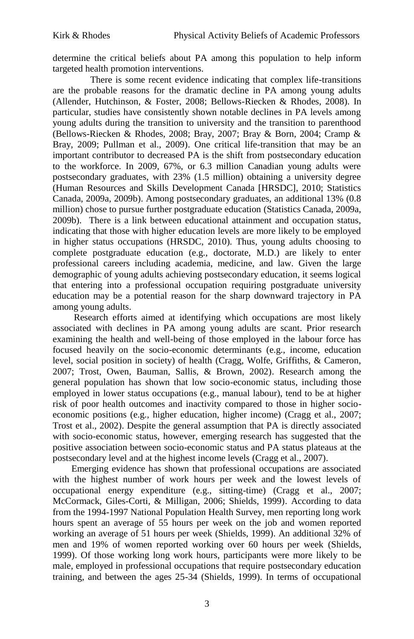determine the critical beliefs about PA among this population to help inform targeted health promotion interventions.

There is some recent evidence indicating that complex life-transitions are the probable reasons for the dramatic decline in PA among young adults (Allender, Hutchinson, & Foster, 2008; Bellows-Riecken & Rhodes, 2008). In particular, studies have consistently shown notable declines in PA levels among young adults during the transition to university and the transition to parenthood (Bellows-Riecken & Rhodes, 2008; Bray, 2007; Bray & Born, 2004; Cramp & Bray, 2009; Pullman et al., 2009). One critical life-transition that may be an important contributor to decreased PA is the shift from postsecondary education to the workforce. In 2009, 67%, or 6.3 million Canadian young adults were postsecondary graduates, with 23% (1.5 million) obtaining a university degree (Human Resources and Skills Development Canada [HRSDC], 2010; Statistics Canada, 2009a, 2009b). Among postsecondary graduates, an additional 13% (0.8 million) chose to pursue further postgraduate education (Statistics Canada, 2009a, 2009b). There is a link between educational attainment and occupation status, indicating that those with higher education levels are more likely to be employed in higher status occupations (HRSDC, 2010). Thus, young adults choosing to complete postgraduate education (e.g., doctorate, M.D.) are likely to enter professional careers including academia, medicine, and law. Given the large demographic of young adults achieving postsecondary education, it seems logical that entering into a professional occupation requiring postgraduate university education may be a potential reason for the sharp downward trajectory in PA among young adults.

Research efforts aimed at identifying which occupations are most likely associated with declines in PA among young adults are scant. Prior research examining the health and well-being of those employed in the labour force has focused heavily on the socio-economic determinants (e.g., income, education level, social position in society) of health (Cragg, Wolfe, Griffiths, & Cameron, 2007; Trost, Owen, Bauman, Sallis, & Brown, 2002). Research among the general population has shown that low socio-economic status, including those employed in lower status occupations (e.g., manual labour), tend to be at higher risk of poor health outcomes and inactivity compared to those in higher socioeconomic positions (e.g., higher education, higher income) (Cragg et al., 2007; Trost et al., 2002). Despite the general assumption that PA is directly associated with socio-economic status, however, emerging research has suggested that the positive association between socio-economic status and PA status plateaus at the postsecondary level and at the highest income levels (Cragg et al., 2007).

Emerging evidence has shown that professional occupations are associated with the highest number of work hours per week and the lowest levels of occupational energy expenditure (e.g., sitting-time) (Cragg et al., 2007; McCormack, Giles-Corti, & Milligan, 2006; Shields, 1999). According to data from the 1994-1997 National Population Health Survey, men reporting long work hours spent an average of 55 hours per week on the job and women reported working an average of 51 hours per week (Shields, 1999). An additional 32% of men and 19% of women reported working over 60 hours per week (Shields, 1999). Of those working long work hours, participants were more likely to be male, employed in professional occupations that require postsecondary education training, and between the ages 25-34 (Shields, 1999). In terms of occupational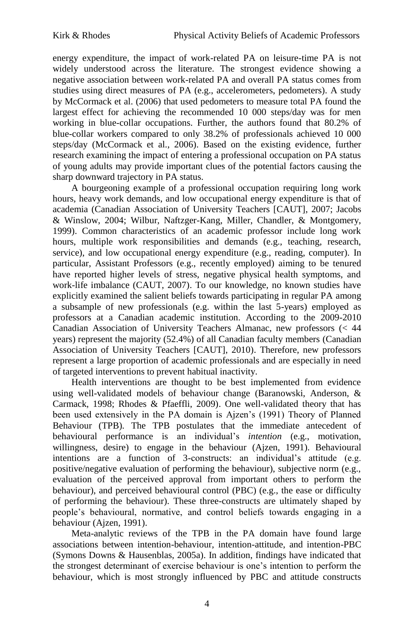energy expenditure, the impact of work-related PA on leisure-time PA is not widely understood across the literature. The strongest evidence showing a negative association between work-related PA and overall PA status comes from studies using direct measures of PA (e.g., accelerometers, pedometers). A study by McCormack et al. (2006) that used pedometers to measure total PA found the largest effect for achieving the recommended 10 000 steps/day was for men working in blue-collar occupations. Further, the authors found that 80.2% of blue-collar workers compared to only 38.2% of professionals achieved 10 000 steps/day (McCormack et al., 2006). Based on the existing evidence, further research examining the impact of entering a professional occupation on PA status of young adults may provide important clues of the potential factors causing the sharp downward trajectory in PA status.

A bourgeoning example of a professional occupation requiring long work hours, heavy work demands, and low occupational energy expenditure is that of academia (Canadian Association of University Teachers [CAUT], 2007; Jacobs & Winslow, 2004; Wilbur, Naftzger-Kang, Miller, Chandler, & Montgomery, 1999). Common characteristics of an academic professor include long work hours, multiple work responsibilities and demands (e.g., teaching, research, service), and low occupational energy expenditure (e.g., reading, computer). In particular, Assistant Professors (e.g., recently employed) aiming to be tenured have reported higher levels of stress, negative physical health symptoms, and work-life imbalance (CAUT, 2007). To our knowledge, no known studies have explicitly examined the salient beliefs towards participating in regular PA among a subsample of new professionals (e.g. within the last 5-years) employed as professors at a Canadian academic institution. According to the 2009-2010 Canadian Association of University Teachers Almanac, new professors (< 44 years) represent the majority (52.4%) of all Canadian faculty members (Canadian Association of University Teachers [CAUT], 2010). Therefore, new professors represent a large proportion of academic professionals and are especially in need of targeted interventions to prevent habitual inactivity.

Health interventions are thought to be best implemented from evidence using well-validated models of behaviour change (Baranowski, Anderson, & Carmack, 1998; Rhodes & Pfaeffli, 2009). One well-validated theory that has been used extensively in the PA domain is Ajzen's (1991) Theory of Planned Behaviour (TPB). The TPB postulates that the immediate antecedent of behavioural performance is an individual's *intention* (e.g., motivation, willingness, desire) to engage in the behaviour (Ajzen, 1991). Behavioural intentions are a function of 3-constructs: an individual's attitude (e.g. positive/negative evaluation of performing the behaviour), subjective norm (e.g., evaluation of the perceived approval from important others to perform the behaviour), and perceived behavioural control (PBC) (e.g., the ease or difficulty of performing the behaviour). These three-constructs are ultimately shaped by people's behavioural, normative, and control beliefs towards engaging in a behaviour (Ajzen, 1991).

Meta-analytic reviews of the TPB in the PA domain have found large associations between intention-behaviour, intention-attitude, and intention-PBC (Symons Downs & Hausenblas, 2005a). In addition, findings have indicated that the strongest determinant of exercise behaviour is one's intention to perform the behaviour, which is most strongly influenced by PBC and attitude constructs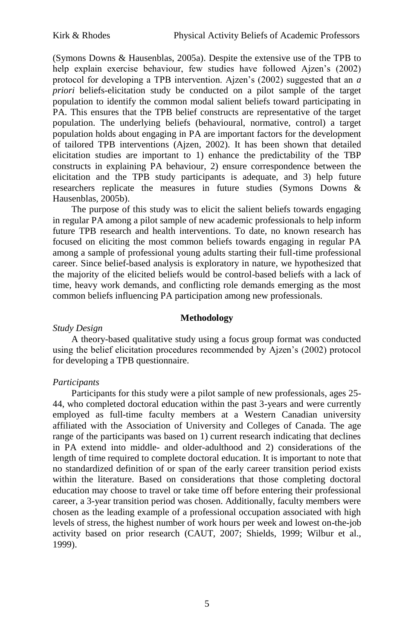(Symons Downs & Hausenblas, 2005a). Despite the extensive use of the TPB to help explain exercise behaviour, few studies have followed Ajzen's (2002) protocol for developing a TPB intervention. Ajzen's (2002) suggested that an *a priori* beliefs-elicitation study be conducted on a pilot sample of the target population to identify the common modal salient beliefs toward participating in PA. This ensures that the TPB belief constructs are representative of the target population. The underlying beliefs (behavioural, normative, control) a target population holds about engaging in PA are important factors for the development of tailored TPB interventions (Ajzen, 2002). It has been shown that detailed elicitation studies are important to 1) enhance the predictability of the TBP constructs in explaining PA behaviour, 2) ensure correspondence between the elicitation and the TPB study participants is adequate, and 3) help future researchers replicate the measures in future studies (Symons Downs & Hausenblas, 2005b).

The purpose of this study was to elicit the salient beliefs towards engaging in regular PA among a pilot sample of new academic professionals to help inform future TPB research and health interventions. To date, no known research has focused on eliciting the most common beliefs towards engaging in regular PA among a sample of professional young adults starting their full-time professional career. Since belief-based analysis is exploratory in nature, we hypothesized that the majority of the elicited beliefs would be control-based beliefs with a lack of time, heavy work demands, and conflicting role demands emerging as the most common beliefs influencing PA participation among new professionals.

# **Methodology**

# *Study Design*

A theory-based qualitative study using a focus group format was conducted using the belief elicitation procedures recommended by Ajzen's (2002) protocol for developing a TPB questionnaire.

# *Participants*

Participants for this study were a pilot sample of new professionals, ages 25- 44, who completed doctoral education within the past 3-years and were currently employed as full-time faculty members at a Western Canadian university affiliated with the Association of University and Colleges of Canada. The age range of the participants was based on 1) current research indicating that declines in PA extend into middle- and older-adulthood and 2) considerations of the length of time required to complete doctoral education. It is important to note that no standardized definition of or span of the early career transition period exists within the literature. Based on considerations that those completing doctoral education may choose to travel or take time off before entering their professional career, a 3-year transition period was chosen. Additionally, faculty members were chosen as the leading example of a professional occupation associated with high levels of stress, the highest number of work hours per week and lowest on-the-job activity based on prior research (CAUT, 2007; Shields, 1999; Wilbur et al., 1999).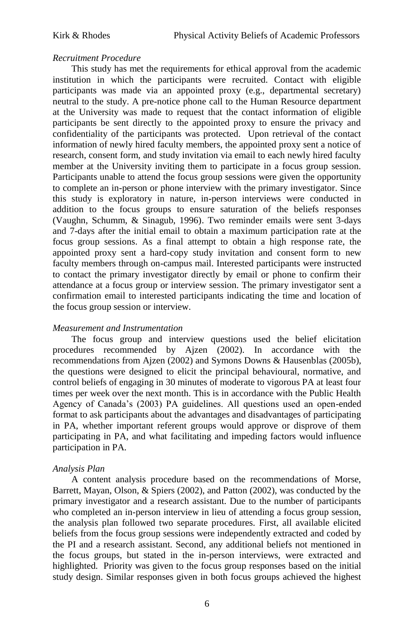## *Recruitment Procedure*

This study has met the requirements for ethical approval from the academic institution in which the participants were recruited. Contact with eligible participants was made via an appointed proxy (e.g., departmental secretary) neutral to the study. A pre-notice phone call to the Human Resource department at the University was made to request that the contact information of eligible participants be sent directly to the appointed proxy to ensure the privacy and confidentiality of the participants was protected. Upon retrieval of the contact information of newly hired faculty members, the appointed proxy sent a notice of research, consent form, and study invitation via email to each newly hired faculty member at the University inviting them to participate in a focus group session. Participants unable to attend the focus group sessions were given the opportunity to complete an in-person or phone interview with the primary investigator. Since this study is exploratory in nature, in-person interviews were conducted in addition to the focus groups to ensure saturation of the beliefs responses (Vaughn, Schumm, & Sinagub, 1996). Two reminder emails were sent 3-days and 7-days after the initial email to obtain a maximum participation rate at the focus group sessions. As a final attempt to obtain a high response rate, the appointed proxy sent a hard-copy study invitation and consent form to new faculty members through on-campus mail. Interested participants were instructed to contact the primary investigator directly by email or phone to confirm their attendance at a focus group or interview session. The primary investigator sent a confirmation email to interested participants indicating the time and location of the focus group session or interview.

## *Measurement and Instrumentation*

The focus group and interview questions used the belief elicitation procedures recommended by Ajzen (2002). In accordance with the recommendations from Ajzen (2002) and Symons Downs & Hausenblas (2005b), the questions were designed to elicit the principal behavioural, normative, and control beliefs of engaging in 30 minutes of moderate to vigorous PA at least four times per week over the next month. This is in accordance with the Public Health Agency of Canada's (2003) PA guidelines. All questions used an open-ended format to ask participants about the advantages and disadvantages of participating in PA, whether important referent groups would approve or disprove of them participating in PA, and what facilitating and impeding factors would influence participation in PA.

## *Analysis Plan*

A content analysis procedure based on the recommendations of Morse, Barrett, Mayan, Olson, & Spiers (2002), and Patton (2002), was conducted by the primary investigator and a research assistant. Due to the number of participants who completed an in-person interview in lieu of attending a focus group session, the analysis plan followed two separate procedures. First, all available elicited beliefs from the focus group sessions were independently extracted and coded by the PI and a research assistant. Second, any additional beliefs not mentioned in the focus groups, but stated in the in-person interviews, were extracted and highlighted. Priority was given to the focus group responses based on the initial study design. Similar responses given in both focus groups achieved the highest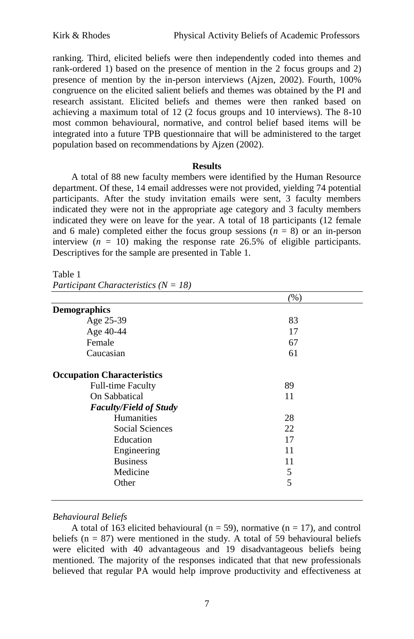ranking. Third, elicited beliefs were then independently coded into themes and rank-ordered 1) based on the presence of mention in the 2 focus groups and 2) presence of mention by the in-person interviews (Ajzen, 2002). Fourth, 100% congruence on the elicited salient beliefs and themes was obtained by the PI and research assistant. Elicited beliefs and themes were then ranked based on achieving a maximum total of 12 (2 focus groups and 10 interviews). The 8-10 most common behavioural, normative, and control belief based items will be integrated into a future TPB questionnaire that will be administered to the target population based on recommendations by Ajzen (2002).

#### **Results**

A total of 88 new faculty members were identified by the Human Resource department. Of these, 14 email addresses were not provided, yielding 74 potential participants. After the study invitation emails were sent, 3 faculty members indicated they were not in the appropriate age category and 3 faculty members indicated they were on leave for the year. A total of 18 participants (12 female and 6 male) completed either the focus group sessions  $(n = 8)$  or an in-person interview  $(n = 10)$  making the response rate 26.5% of eligible participants. Descriptives for the sample are presented in Table 1.

#### Table 1

*Participant Characteristics (N = 18)*

|                                   | (%) |
|-----------------------------------|-----|
| <b>Demographics</b>               |     |
| Age 25-39                         | 83  |
| Age 40-44                         | 17  |
| Female                            | 67  |
| Caucasian                         | 61  |
| <b>Occupation Characteristics</b> |     |
| <b>Full-time Faculty</b>          | 89  |
| On Sabbatical                     | 11  |
| <b>Faculty/Field of Study</b>     |     |
| <b>Humanities</b>                 | 28  |
| Social Sciences                   | 22  |
| Education                         | 17  |
| Engineering                       | 11  |
| <b>Business</b>                   | 11  |
| Medicine                          | 5   |
| Other                             | 5   |

## *Behavioural Beliefs*

A total of 163 elicited behavioural ( $n = 59$ ), normative ( $n = 17$ ), and control beliefs ( $n = 87$ ) were mentioned in the study. A total of 59 behavioural beliefs were elicited with 40 advantageous and 19 disadvantageous beliefs being mentioned. The majority of the responses indicated that that new professionals believed that regular PA would help improve productivity and effectiveness at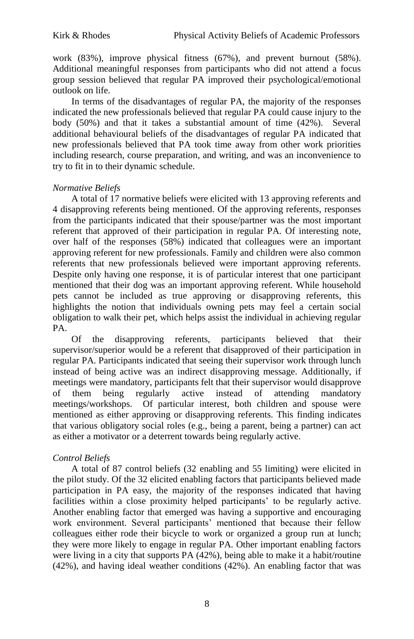work (83%), improve physical fitness (67%), and prevent burnout (58%). Additional meaningful responses from participants who did not attend a focus group session believed that regular PA improved their psychological/emotional outlook on life.

In terms of the disadvantages of regular PA, the majority of the responses indicated the new professionals believed that regular PA could cause injury to the body (50%) and that it takes a substantial amount of time (42%). Several additional behavioural beliefs of the disadvantages of regular PA indicated that new professionals believed that PA took time away from other work priorities including research, course preparation, and writing, and was an inconvenience to try to fit in to their dynamic schedule.

# *Normative Beliefs*

A total of 17 normative beliefs were elicited with 13 approving referents and 4 disapproving referents being mentioned. Of the approving referents, responses from the participants indicated that their spouse/partner was the most important referent that approved of their participation in regular PA. Of interesting note, over half of the responses (58%) indicated that colleagues were an important approving referent for new professionals. Family and children were also common referents that new professionals believed were important approving referents. Despite only having one response, it is of particular interest that one participant mentioned that their dog was an important approving referent. While household pets cannot be included as true approving or disapproving referents, this highlights the notion that individuals owning pets may feel a certain social obligation to walk their pet, which helps assist the individual in achieving regular PA.

Of the disapproving referents, participants believed that their supervisor/superior would be a referent that disapproved of their participation in regular PA. Participants indicated that seeing their supervisor work through lunch instead of being active was an indirect disapproving message. Additionally, if meetings were mandatory, participants felt that their supervisor would disapprove of them being regularly active instead of attending mandatory meetings/workshops. Of particular interest, both children and spouse were mentioned as either approving or disapproving referents. This finding indicates that various obligatory social roles (e.g., being a parent, being a partner) can act as either a motivator or a deterrent towards being regularly active.

# *Control Beliefs*

A total of 87 control beliefs (32 enabling and 55 limiting) were elicited in the pilot study. Of the 32 elicited enabling factors that participants believed made participation in PA easy, the majority of the responses indicated that having facilities within a close proximity helped participants' to be regularly active. Another enabling factor that emerged was having a supportive and encouraging work environment. Several participants' mentioned that because their fellow colleagues either rode their bicycle to work or organized a group run at lunch; they were more likely to engage in regular PA. Other important enabling factors were living in a city that supports PA (42%), being able to make it a habit/routine (42%), and having ideal weather conditions (42%). An enabling factor that was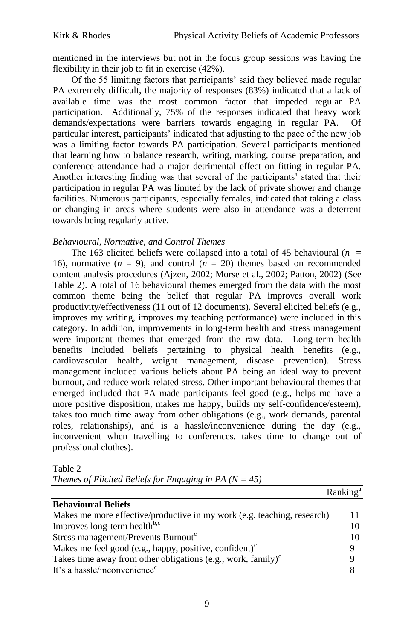mentioned in the interviews but not in the focus group sessions was having the flexibility in their job to fit in exercise (42%).

Of the 55 limiting factors that participants' said they believed made regular PA extremely difficult, the majority of responses (83%) indicated that a lack of available time was the most common factor that impeded regular PA participation. Additionally, 75% of the responses indicated that heavy work demands/expectations were barriers towards engaging in regular PA. Of particular interest, participants' indicated that adjusting to the pace of the new job was a limiting factor towards PA participation. Several participants mentioned that learning how to balance research, writing, marking, course preparation, and conference attendance had a major detrimental effect on fitting in regular PA. Another interesting finding was that several of the participants' stated that their participation in regular PA was limited by the lack of private shower and change facilities. Numerous participants, especially females, indicated that taking a class or changing in areas where students were also in attendance was a deterrent towards being regularly active.

# *Behavioural, Normative, and Control Themes*

The 163 elicited beliefs were collapsed into a total of 45 behavioural ( $n =$ 16), normative  $(n = 9)$ , and control  $(n = 20)$  themes based on recommended content analysis procedures (Ajzen, 2002; Morse et al., 2002; Patton, 2002) (See Table 2). A total of 16 behavioural themes emerged from the data with the most common theme being the belief that regular PA improves overall work productivity/effectiveness (11 out of 12 documents). Several elicited beliefs (e.g., improves my writing, improves my teaching performance) were included in this category. In addition, improvements in long-term health and stress management were important themes that emerged from the raw data. Long-term health benefits included beliefs pertaining to physical health benefits (e.g., cardiovascular health, weight management, disease prevention). Stress management included various beliefs about PA being an ideal way to prevent burnout, and reduce work-related stress. Other important behavioural themes that emerged included that PA made participants feel good (e.g., helps me have a more positive disposition, makes me happy, builds my self-confidence/esteem), takes too much time away from other obligations (e.g., work demands, parental roles, relationships), and is a hassle/inconvenience during the day (e.g., inconvenient when travelling to conferences, takes time to change out of professional clothes).

|--|--|--|--|

*Themes of Elicited Beliefs for Engaging in PA (N = 45)*

|                                                                         | ------------ |
|-------------------------------------------------------------------------|--------------|
| <b>Behavioural Beliefs</b>                                              |              |
| Makes me more effective/productive in my work (e.g. teaching, research) |              |
| Improves long-term health <sup>b,c</sup>                                | 10           |
| Stress management/Prevents Burnout <sup>c</sup>                         | 10           |
| Makes me feel good (e.g., happy, positive, confident) <sup>c</sup>      | Q            |
| Takes time away from other obligations (e.g., work, family) $\epsilon$  | Q            |
| It's a hassle/inconvenience <sup>c</sup>                                |              |

 $R$ anking<sup>a</sup>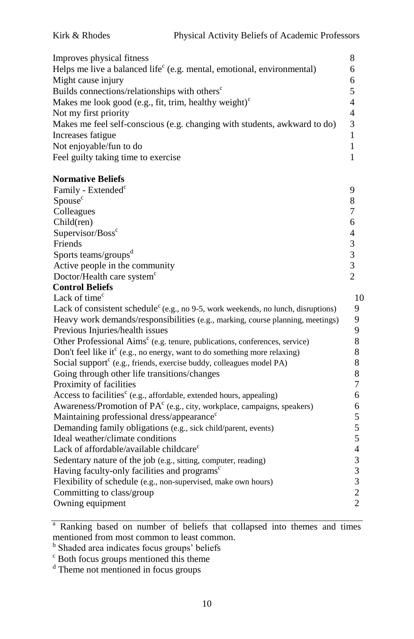| Improves physical fitness                                                          |   |
|------------------------------------------------------------------------------------|---|
| Helps me live a balanced life <sup>c</sup> (e.g. mental, emotional, environmental) | 6 |
| Might cause injury                                                                 | 6 |
| Builds connections/relationships with others <sup>c</sup>                          |   |
| Makes me look good (e.g., fit, trim, healthy weight) $\epsilon$                    | 4 |
| Not my first priority                                                              | 4 |
| Makes me feel self-conscious (e.g. changing with students, awkward to do)          | 3 |
| Increases fatigue                                                                  |   |
| Not enjoyable/fun to do                                                            |   |
| Feel guilty taking time to exercise                                                |   |
|                                                                                    |   |

# **Normative Beliefs**

| Family - Extended <sup>c</sup>         |   |
|----------------------------------------|---|
| Spouse <sup>c</sup>                    |   |
| Colleagues                             |   |
| Child(ren)                             | 6 |
| Supervisor/Boss <sup>c</sup>           |   |
| Friends                                |   |
| Sports teams/groups <sup>d</sup>       |   |
| Active people in the community         |   |
| Doctor/Health care system <sup>c</sup> |   |
|                                        |   |

#### **Control Beliefs** Lack of time<sup>c</sup>

| Lack of time <sup>c</sup>                                                                     | 10             |
|-----------------------------------------------------------------------------------------------|----------------|
| Lack of consistent schedule <sup>c</sup> (e.g., no 9-5, work weekends, no lunch, disruptions) | 9              |
| Heavy work demands/responsibilities (e.g., marking, course planning, meetings)                | 9              |
| Previous Injuries/health issues                                                               | 9              |
| Other Professional Aims <sup>c</sup> (e.g. tenure, publications, conferences, service)        | 8              |
| Don't feel like it $(e.g., no energy, want to do something more relaxing)$                    | 8              |
| Social support $(e.g., friends, exercise buddy, colleagues model PA)$                         | 8              |
| Going through other life transitions/changes                                                  | 8              |
| Proximity of facilities                                                                       | 7              |
| Access to facilities <sup>c</sup> (e.g., affordable, extended hours, appealing)               | 6              |
| Awareness/Promotion of $PAc$ (e.g., city, workplace, campaigns, speakers)                     | 6              |
| Maintaining professional dress/appearance <sup>c</sup>                                        | 5              |
| Demanding family obligations (e.g., sick child/parent, events)                                | 5              |
| Ideal weather/climate conditions                                                              | 5              |
| Lack of affordable/available childcare <sup>c</sup>                                           | $\overline{4}$ |
| Sedentary nature of the job (e.g., sitting, computer, reading)                                | 3              |
| Having faculty-only facilities and programs <sup>c</sup>                                      | 3              |
| Flexibility of schedule (e.g., non-supervised, make own hours)                                | 3              |
| Committing to class/group                                                                     | 2              |
| Owning equipment                                                                              | $\overline{2}$ |
|                                                                                               |                |

<sup>a</sup> Ranking based on number of beliefs that collapsed into themes and times mentioned from most common to least common.

<sup>b</sup> Shaded area indicates focus groups' beliefs

<sup>c</sup> Both focus groups mentioned this theme

<sup>d</sup> Theme not mentioned in focus groups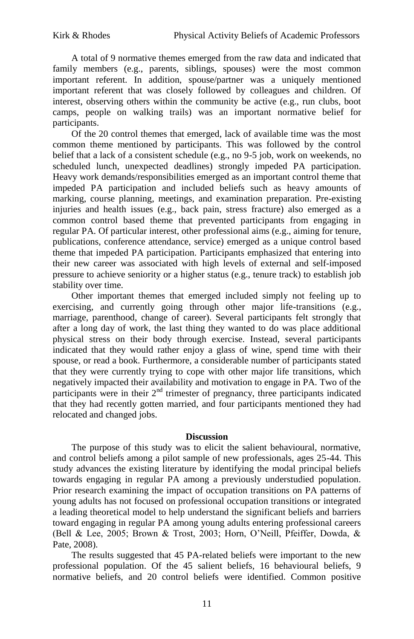A total of 9 normative themes emerged from the raw data and indicated that family members (e.g., parents, siblings, spouses) were the most common important referent. In addition, spouse/partner was a uniquely mentioned important referent that was closely followed by colleagues and children. Of interest, observing others within the community be active (e.g., run clubs, boot camps, people on walking trails) was an important normative belief for participants.

Of the 20 control themes that emerged, lack of available time was the most common theme mentioned by participants. This was followed by the control belief that a lack of a consistent schedule (e.g., no 9-5 job, work on weekends, no scheduled lunch, unexpected deadlines) strongly impeded PA participation. Heavy work demands/responsibilities emerged as an important control theme that impeded PA participation and included beliefs such as heavy amounts of marking, course planning, meetings, and examination preparation. Pre-existing injuries and health issues (e.g., back pain, stress fracture) also emerged as a common control based theme that prevented participants from engaging in regular PA. Of particular interest, other professional aims (e.g., aiming for tenure, publications, conference attendance, service) emerged as a unique control based theme that impeded PA participation. Participants emphasized that entering into their new career was associated with high levels of external and self-imposed pressure to achieve seniority or a higher status (e.g., tenure track) to establish job stability over time.

Other important themes that emerged included simply not feeling up to exercising, and currently going through other major life-transitions (e.g., marriage, parenthood, change of career). Several participants felt strongly that after a long day of work, the last thing they wanted to do was place additional physical stress on their body through exercise. Instead, several participants indicated that they would rather enjoy a glass of wine, spend time with their spouse, or read a book. Furthermore, a considerable number of participants stated that they were currently trying to cope with other major life transitions, which negatively impacted their availability and motivation to engage in PA. Two of the participants were in their  $2<sup>nd</sup>$  trimester of pregnancy, three participants indicated that they had recently gotten married, and four participants mentioned they had relocated and changed jobs.

## **Discussion**

The purpose of this study was to elicit the salient behavioural, normative, and control beliefs among a pilot sample of new professionals, ages 25-44. This study advances the existing literature by identifying the modal principal beliefs towards engaging in regular PA among a previously understudied population. Prior research examining the impact of occupation transitions on PA patterns of young adults has not focused on professional occupation transitions or integrated a leading theoretical model to help understand the significant beliefs and barriers toward engaging in regular PA among young adults entering professional careers (Bell & Lee, 2005; Brown & Trost, 2003; Horn, O'Neill, Pfeiffer, Dowda, & Pate, 2008).

The results suggested that 45 PA-related beliefs were important to the new professional population. Of the 45 salient beliefs, 16 behavioural beliefs, 9 normative beliefs, and 20 control beliefs were identified. Common positive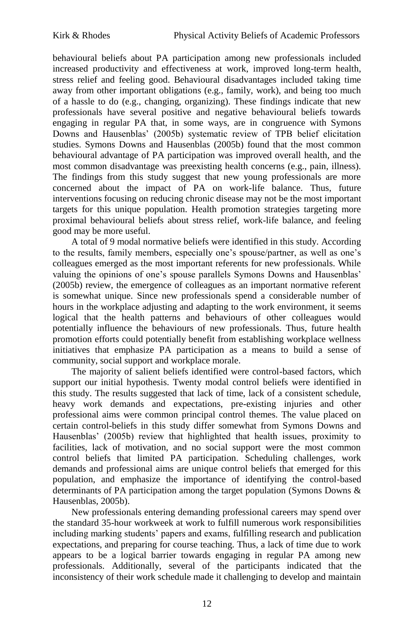behavioural beliefs about PA participation among new professionals included increased productivity and effectiveness at work, improved long-term health, stress relief and feeling good. Behavioural disadvantages included taking time away from other important obligations (e.g., family, work), and being too much of a hassle to do (e.g., changing, organizing). These findings indicate that new professionals have several positive and negative behavioural beliefs towards engaging in regular PA that, in some ways, are in congruence with Symons Downs and Hausenblas' (2005b) systematic review of TPB belief elicitation studies. Symons Downs and Hausenblas (2005b) found that the most common behavioural advantage of PA participation was improved overall health, and the most common disadvantage was preexisting health concerns (e.g., pain, illness). The findings from this study suggest that new young professionals are more concerned about the impact of PA on work-life balance. Thus, future interventions focusing on reducing chronic disease may not be the most important targets for this unique population. Health promotion strategies targeting more proximal behavioural beliefs about stress relief, work-life balance, and feeling good may be more useful.

A total of 9 modal normative beliefs were identified in this study. According to the results, family members, especially one's spouse/partner, as well as one's colleagues emerged as the most important referents for new professionals. While valuing the opinions of one's spouse parallels Symons Downs and Hausenblas' (2005b) review, the emergence of colleagues as an important normative referent is somewhat unique. Since new professionals spend a considerable number of hours in the workplace adjusting and adapting to the work environment, it seems logical that the health patterns and behaviours of other colleagues would potentially influence the behaviours of new professionals. Thus, future health promotion efforts could potentially benefit from establishing workplace wellness initiatives that emphasize PA participation as a means to build a sense of community, social support and workplace morale.

The majority of salient beliefs identified were control-based factors, which support our initial hypothesis. Twenty modal control beliefs were identified in this study. The results suggested that lack of time, lack of a consistent schedule, heavy work demands and expectations, pre-existing injuries and other professional aims were common principal control themes. The value placed on certain control-beliefs in this study differ somewhat from Symons Downs and Hausenblas' (2005b) review that highlighted that health issues, proximity to facilities, lack of motivation, and no social support were the most common control beliefs that limited PA participation. Scheduling challenges, work demands and professional aims are unique control beliefs that emerged for this population, and emphasize the importance of identifying the control-based determinants of PA participation among the target population (Symons Downs & Hausenblas, 2005b).

New professionals entering demanding professional careers may spend over the standard 35-hour workweek at work to fulfill numerous work responsibilities including marking students' papers and exams, fulfilling research and publication expectations, and preparing for course teaching. Thus, a lack of time due to work appears to be a logical barrier towards engaging in regular PA among new professionals. Additionally, several of the participants indicated that the inconsistency of their work schedule made it challenging to develop and maintain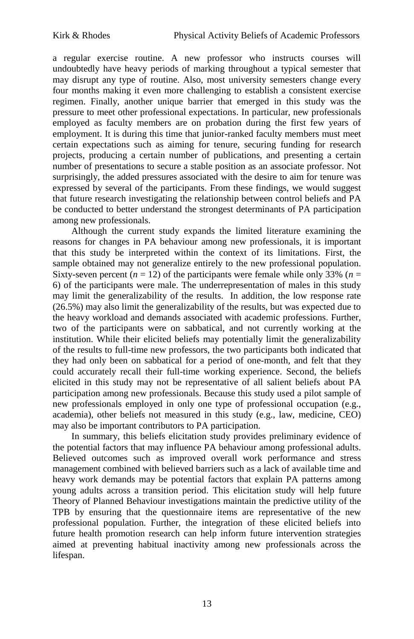a regular exercise routine. A new professor who instructs courses will undoubtedly have heavy periods of marking throughout a typical semester that may disrupt any type of routine. Also, most university semesters change every four months making it even more challenging to establish a consistent exercise regimen. Finally, another unique barrier that emerged in this study was the pressure to meet other professional expectations. In particular, new professionals employed as faculty members are on probation during the first few years of employment. It is during this time that junior-ranked faculty members must meet certain expectations such as aiming for tenure, securing funding for research projects, producing a certain number of publications, and presenting a certain number of presentations to secure a stable position as an associate professor. Not surprisingly, the added pressures associated with the desire to aim for tenure was expressed by several of the participants. From these findings, we would suggest that future research investigating the relationship between control beliefs and PA be conducted to better understand the strongest determinants of PA participation among new professionals.

Although the current study expands the limited literature examining the reasons for changes in PA behaviour among new professionals, it is important that this study be interpreted within the context of its limitations. First, the sample obtained may not generalize entirely to the new professional population. Sixty-seven percent  $(n = 12)$  of the participants were female while only 33%  $(n = 12)$ 6) of the participants were male. The underrepresentation of males in this study may limit the generalizability of the results. In addition, the low response rate (26.5%) may also limit the generalizability of the results, but was expected due to the heavy workload and demands associated with academic professions. Further, two of the participants were on sabbatical, and not currently working at the institution. While their elicited beliefs may potentially limit the generalizability of the results to full-time new professors, the two participants both indicated that they had only been on sabbatical for a period of one-month, and felt that they could accurately recall their full-time working experience. Second, the beliefs elicited in this study may not be representative of all salient beliefs about PA participation among new professionals. Because this study used a pilot sample of new professionals employed in only one type of professional occupation (e.g., academia), other beliefs not measured in this study (e.g., law, medicine, CEO) may also be important contributors to PA participation.

In summary, this beliefs elicitation study provides preliminary evidence of the potential factors that may influence PA behaviour among professional adults. Believed outcomes such as improved overall work performance and stress management combined with believed barriers such as a lack of available time and heavy work demands may be potential factors that explain PA patterns among young adults across a transition period. This elicitation study will help future Theory of Planned Behaviour investigations maintain the predictive utility of the TPB by ensuring that the questionnaire items are representative of the new professional population. Further, the integration of these elicited beliefs into future health promotion research can help inform future intervention strategies aimed at preventing habitual inactivity among new professionals across the lifespan.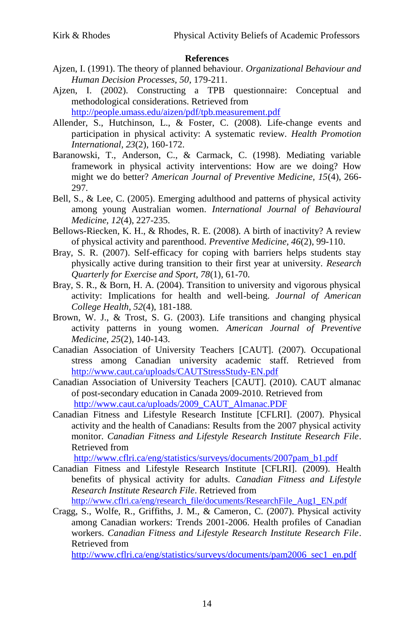## **References**

- Ajzen, I. (1991). The theory of planned behaviour. *Organizational Behaviour and Human Decision Processes, 50*, 179-211.
- Ajzen, I. (2002). Constructing a TPB questionnaire: Conceptual and methodological considerations. Retrieved from <http://people.umass.edu/aizen/pdf/tpb.measurement.pdf>
- Allender, S., Hutchinson, L., & Foster, C. (2008). Life-change events and participation in physical activity: A systematic review. *Health Promotion International, 23*(2), 160-172.
- Baranowski, T., Anderson, C., & Carmack, C. (1998). Mediating variable framework in physical activity interventions: How are we doing? How might we do better? *American Journal of Preventive Medicine, 15*(4), 266- 297.
- Bell, S., & Lee, C. (2005). Emerging adulthood and patterns of physical activity among young Australian women. *International Journal of Behavioural Medicine, 12*(4), 227-235.
- Bellows-Riecken, K. H., & Rhodes, R. E. (2008). A birth of inactivity? A review of physical activity and parenthood. *Preventive Medicine, 46*(2), 99-110.
- Bray, S. R. (2007). Self-efficacy for coping with barriers helps students stay physically active during transition to their first year at university. *Research Quarterly for Exercise and Sport, 78*(1), 61-70.
- Bray, S. R., & Born, H. A. (2004). Transition to university and vigorous physical activity: Implications for health and well-being. *Journal of American College Health, 52*(4), 181-188.
- Brown, W. J., & Trost, S. G. (2003). Life transitions and changing physical activity patterns in young women. *American Journal of Preventive Medicine, 25*(2), 140-143.
- Canadian Association of University Teachers [CAUT]. (2007). Occupational stress among Canadian university academic staff. Retrieved from <http://www.caut.ca/uploads/CAUTStressStudy-EN.pdf>
- Canadian Association of University Teachers [CAUT]. (2010). CAUT almanac of post-secondary education in Canada 2009-2010. Retrieved from [http://www.caut.ca/uploads/2009\\_CAUT\\_Almanac.PDF](http://www.caut.ca/uploads/2009_CAUT_Almanac.PDF)
- Canadian Fitness and Lifestyle Research Institute [CFLRI]. (2007). Physical activity and the health of Canadians: Results from the 2007 physical activity monitor. *Canadian Fitness and Lifestyle Research Institute Research File*. Retrieved from

[http://www.cflri.ca/eng/statistics/surveys/documents/2007pam\\_b1.pdf](http://www.cflri.ca/eng/statistics/surveys/documents/2007pam_b1.pdf)

Canadian Fitness and Lifestyle Research Institute [CFLRI]. (2009). Health benefits of physical activity for adults. *Canadian Fitness and Lifestyle Research Institute Research File*. Retrieved from

[http://www.cflri.ca/eng/research\\_file/documents/ResearchFile\\_Aug1\\_EN.pdf](http://www.cflri.ca/eng/research_file/documents/ResearchFile_Aug1_EN.pdf)

Cragg, S., Wolfe, R., Griffiths, J. M., & Cameron, C. (2007). Physical activity among Canadian workers: Trends 2001-2006. Health profiles of Canadian workers. *Canadian Fitness and Lifestyle Research Institute Research File*. Retrieved from

[http://www.cflri.ca/eng/statistics/surveys/documents/pam2006\\_sec1\\_en.pdf](http://www.cflri.ca/eng/statistics/surveys/documents/pam2006_sec1_en.pdf)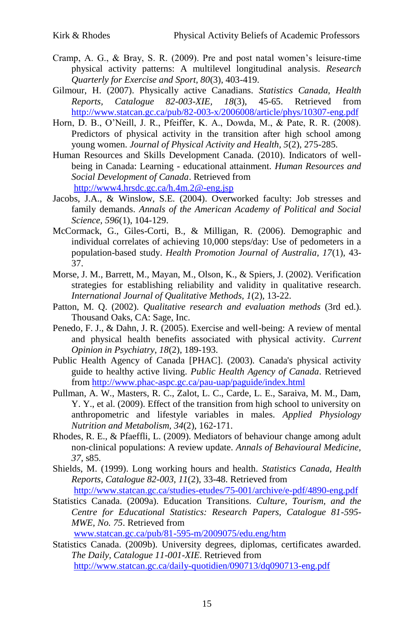- Cramp, A. G., & Bray, S. R. (2009). Pre and post natal women's leisure-time physical activity patterns: A multilevel longitudinal analysis. *Research Quarterly for Exercise and Sport, 80*(3), 403-419.
- Gilmour, H. (2007). Physically active Canadians. *Statistics Canada, Health Reports, Catalogue 82-003-XIE, 18*(3), 45-65. Retrieved from <http://www.statcan.gc.ca/pub/82-003-x/2006008/article/phys/10307-eng.pdf>
- Horn, D. B., O'Neill, J. R., Pfeiffer, K. A., Dowda, M., & Pate, R. R. (2008). Predictors of physical activity in the transition after high school among young women. *Journal of Physical Activity and Health, 5*(2), 275-285.
- Human Resources and Skills Development Canada. (2010). Indicators of wellbeing in Canada: Learning - educational attainment. *Human Resources and Social Development of Canada*. Retrieved from <http://www4.hrsdc.gc.ca/h.4m.2@-eng.jsp>
- Jacobs, J.A., & Winslow, S.E. (2004). Overworked faculty: Job stresses and family demands. *Annals of the American Academy of Political and Social Science, 596*(1), 104-129.
- McCormack, G., Giles-Corti, B., & Milligan, R. (2006). Demographic and individual correlates of achieving 10,000 steps/day: Use of pedometers in a population-based study. *Health Promotion Journal of Australia, 17*(1), 43- 37.
- Morse, J. M., Barrett, M., Mayan, M., Olson, K., & Spiers, J. (2002). Verification strategies for establishing reliability and validity in qualitative research. *International Journal of Qualitative Methods, 1*(2), 13-22.
- Patton, M. Q. (2002). *Qualitative research and evaluation methods* (3rd ed.). Thousand Oaks, CA: Sage, Inc.
- Penedo, F. J., & Dahn, J. R. (2005). Exercise and well-being: A review of mental and physical health benefits associated with physical activity. *Current Opinion in Psychiatry, 18*(2), 189-193.
- Public Health Agency of Canada [PHAC]. (2003). Canada's physical activity guide to healthy active living. *Public Health Agency of Canada*. Retrieved from<http://www.phac-aspc.gc.ca/pau-uap/paguide/index.html>
- Pullman, A. W., Masters, R. C., Zalot, L. C., Carde, L. E., Saraiva, M. M., Dam, Y. Y., et al. (2009). Effect of the transition from high school to university on anthropometric and lifestyle variables in males. *Applied Physiology Nutrition and Metabolism, 34*(2), 162-171.
- Rhodes, R. E., & Pfaeffli, L. (2009). Mediators of behaviour change among adult non-clinical populations: A review update. *Annals of Behavioural Medicine, 37*, s85.
- Shields, M. (1999). Long working hours and health. *Statistics Canada, Health Reports, Catalogue 82-003, 11*(2), 33-48. Retrieved from <http://www.statcan.gc.ca/studies-etudes/75-001/archive/e-pdf/4890-eng.pdf>
- Statistics Canada. (2009a). Education Transitions. *Culture, Tourism, and the Centre for Educational Statistics: Research Papers, Catalogue 81-595- MWE, No. 75*. Retrieved from

[www.statcan.gc.ca/pub/81-595-m/2009075/edu.eng/htm](http://www.statcan.gc.ca/pub/81-595-m/2009075/edu.eng/htm)

Statistics Canada. (2009b). University degrees, diplomas, certificates awarded. *The Daily, Catalogue 11-001-XIE*. Retrieved from <http://www.statcan.gc.ca/daily-quotidien/090713/dq090713-eng.pdf>